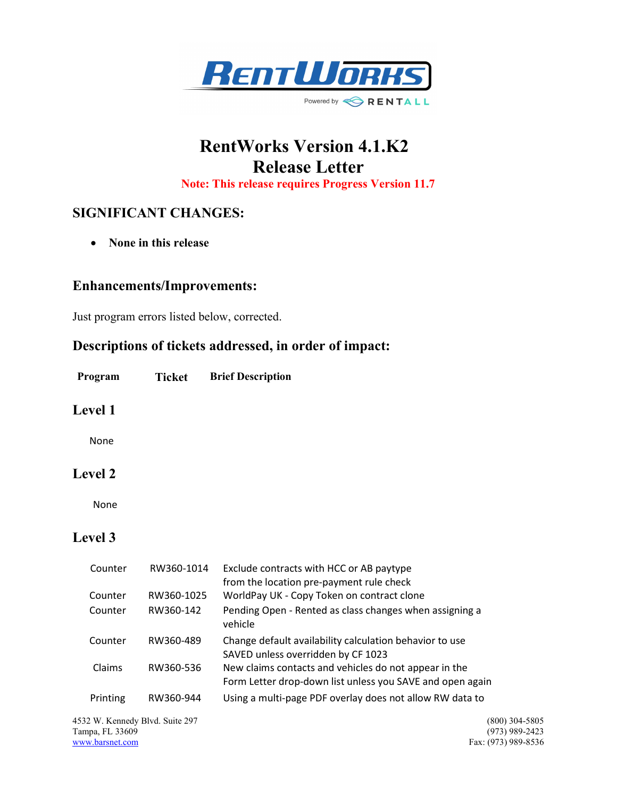

# RentWorks Version 4.1.K2 Release Letter

Note: This release requires Progress Version 11.7

# SIGNIFICANT CHANGES:

• None in this release

#### Enhancements/Improvements:

Just program errors listed below, corrected.

## Descriptions of tickets addressed, in order of impact:

Program Ticket Brief Description

#### Level 1

None

## Level 2

None

## Level 3

| Counter  | RW360-1014 | Exclude contracts with HCC or AB paytype<br>from the location pre-payment rule check                               |
|----------|------------|--------------------------------------------------------------------------------------------------------------------|
| Counter  | RW360-1025 | WorldPay UK - Copy Token on contract clone                                                                         |
| Counter  | RW360-142  | Pending Open - Rented as class changes when assigning a<br>vehicle                                                 |
| Counter  | RW360-489  | Change default availability calculation behavior to use<br>SAVED unless overridden by CF 1023                      |
| Claims   | RW360-536  | New claims contacts and vehicles do not appear in the<br>Form Letter drop-down list unless you SAVE and open again |
| Printing | RW360-944  | Using a multi-page PDF overlay does not allow RW data to                                                           |

4532 W. Kennedy Blvd. Suite 297 (800) 304-5805 Tampa, FL 33609<br>www.barsnet.com

Fax: (973) 989-8536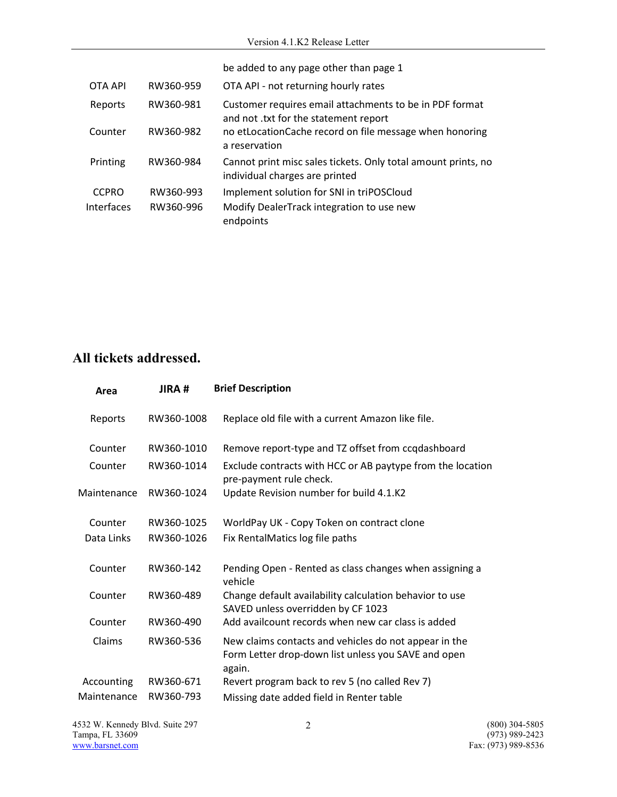|              |           | be added to any page other than page 1                                                           |
|--------------|-----------|--------------------------------------------------------------------------------------------------|
| OTA API      | RW360-959 | OTA API - not returning hourly rates                                                             |
| Reports      | RW360-981 | Customer requires email attachments to be in PDF format<br>and not .txt for the statement report |
| Counter      | RW360-982 | no etLocationCache record on file message when honoring<br>a reservation                         |
| Printing     | RW360-984 | Cannot print misc sales tickets. Only total amount prints, no<br>individual charges are printed  |
| <b>CCPRO</b> | RW360-993 | Implement solution for SNI in triPOSCloud                                                        |
| Interfaces   | RW360-996 | Modify DealerTrack integration to use new<br>endpoints                                           |

# All tickets addressed.

| Area        | JIRA#      | <b>Brief Description</b>                                                                                               |
|-------------|------------|------------------------------------------------------------------------------------------------------------------------|
| Reports     | RW360-1008 | Replace old file with a current Amazon like file.                                                                      |
| Counter     | RW360-1010 | Remove report-type and TZ offset from ccqdashboard                                                                     |
| Counter     | RW360-1014 | Exclude contracts with HCC or AB paytype from the location<br>pre-payment rule check.                                  |
| Maintenance | RW360-1024 | Update Revision number for build 4.1.K2                                                                                |
| Counter     | RW360-1025 | WorldPay UK - Copy Token on contract clone                                                                             |
| Data Links  | RW360-1026 | Fix RentalMatics log file paths                                                                                        |
| Counter     | RW360-142  | Pending Open - Rented as class changes when assigning a<br>vehicle                                                     |
| Counter     | RW360-489  | Change default availability calculation behavior to use<br>SAVED unless overridden by CF 1023                          |
| Counter     | RW360-490  | Add availcount records when new car class is added                                                                     |
| Claims      | RW360-536  | New claims contacts and vehicles do not appear in the<br>Form Letter drop-down list unless you SAVE and open<br>again. |
| Accounting  | RW360-671  | Revert program back to rev 5 (no called Rev 7)                                                                         |
| Maintenance | RW360-793  | Missing date added field in Renter table                                                                               |